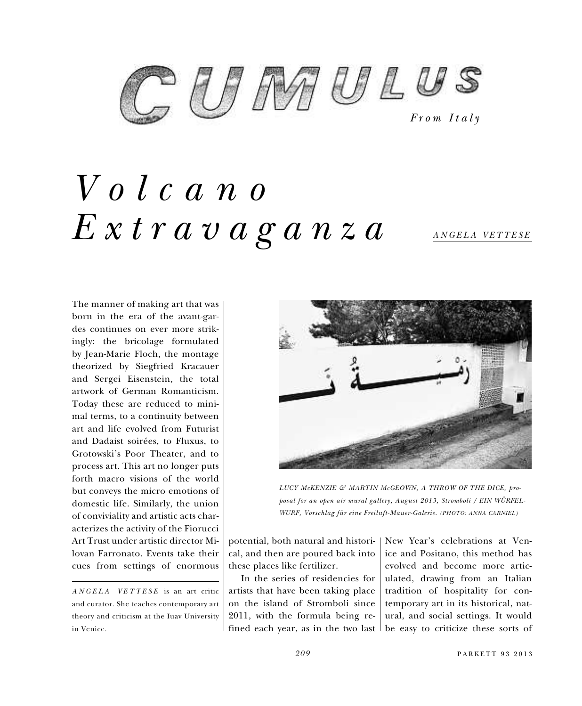

## *Volcano Extravaganza*

*ANGELA VETTESE*

The manner of making art that was born in the era of the avant-gardes continues on ever more strikingly: the bricolage formulated by Jean-Marie Floch, the montage theorized by Siegfried Kracauer and Sergei Eisenstein, the total artwork of German Romanticism. Today these are reduced to minimal terms, to a continuity between art and life evolved from Futurist and Dadaist soirées, to Fluxus, to Grotowski's Poor Theater, and to process art. This art no longer puts forth macro visions of the world but conveys the micro emotions of domestic life. Similarly, the union of conviviality and artistic acts characterizes the activity of the Fiorucci Art Trust under artistic director Milovan Farronato. Events take their cues from settings of enormous

*ANGELA VETTESE* is an art critic and curator. She teaches contemporary art theory and criticism at the Iuav University in Venice.



*LUCY McKENZIE & MARTIN McGEOWN, A THROW OF THE DICE, proposal for an open air mural gallery, August 2013, Stromboli / EIN WÜRFEL-WURF, Vorschlag für eine Freiluft-Mauer-Galerie. (PHOTO: ANNA CARNIEL)*

potential, both natural and historical, and then are poured back into these places like fertilizer.

In the series of residencies for artists that have been taking place on the island of Stromboli since 2011, with the formula being refined each year, as in the two last be easy to criticize these sorts of

New Year's celebrations at Venice and Positano, this method has evolved and become more articulated, drawing from an Italian tradition of hospitality for contemporary art in its historical, natural, and social settings. It would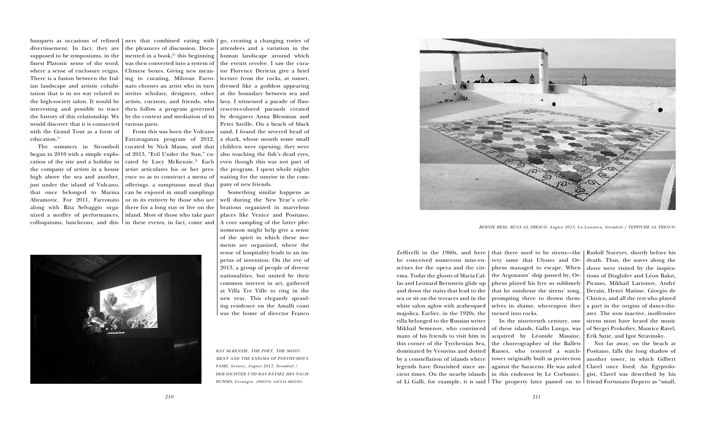divertissement. In fact, they are supposed to be symposiums, in the finest Platonic sense of the word, where a sense of enclosure reigns. There is a fusion between the Ital-ing to curating, Milovan Farroian landscape and artistic cohabitation that is in no way related to  $|$  invites scholars, designers, other the high-society salon. It would be | artists, curators, and friends, who interesting and possible to trace the history of this relationship. We  $\mid$  by the context and mediation of its would discover that it is connected  $\mid$  various parts. with the Grand Tour as a form of education.<sup>1)</sup>

banquets as occasions of refined | ners that combined eating with | go, creating a changing roster of the pleasures of discussion. Documented in a book,<sup>2)</sup> this beginning was then converted into a system of  $\mid$  the events revolve. I saw the cura-Chinese boxes. Giving new meannato chooses an artist who in turn then follow a program governed

The summers in Stromboli curated by Nick Mauss, and that ration of the site and a holiday in  $\mid$  rated  $\mid$  by Lucy McKenzie. $^{3)}$  Each the company of artists in a house  $\mid$  artist articulates his or her presjust under the island of Vulcano, | offerings, a sumptuous meal that that once belonged to Marina | can be-enjoyed in-small-samplings Abramovic. For 2011, Farronato | or in its entirety by those who are along with Rita Selvaggio orga- | there for a long stay or live on the nized a medley of performances, island. Most of those who take part From this was born the Volcano Extravaganza program of 2012, of 2013, "Evil Under the Sun," cuence so as to construct a menu of



began in 2010 with a simple explohigh above the sea and another, colloquiums, luncheons, and din-in these events, in fact, come and

> Zeffirelli in the 1960s, and here  $|$  that there used to be sirens—the  $|$  Rudolf Nureyev, shortly before his very same that Ulysses and Orpheus managed to escape. When  $\mid$  shore were visited by the inspirathe Argonauts' ship passed by, Orpheus played his lyre so sublimely Picasso, Mikhail Larionov, André that he outshone the sirens' song, prompting three to drown themselves in shame, whereupon they a part in the origins of dance-theturned into rocks. In the nineteenth century, one

attendees and a variation in the human landscape around which tor Florence Derieux give a brief lecture from the rocks, at sunset, dressed like a goddess appearing at the boundary between sea and lava. I witnessed a parade of fluorescent-colored parasols created by designers Anna Blessman and Peter Saville. On a beach of black sand, I found the severed head of a shark, whose mouth some small children were opening; they were also touching the fish's dead eyes, even though this was not part of the program. I spent whole nights waiting for the sunrise in the company of new friends.

> of Li Galli, for example, it is said | The property later passed on to | friend Fortunato Depero as "small, he conceived numerous mise-enscènes for the opera and the cinema. Today the ghosts of Maria Callas and Leonard Bernstein glide up and down the stairs that lead to the sea or sit on the terraces and in the white salon aglow with arabesqued majolica. Earlier, in the 1920s, the villa belonged to the Russian writer Mikhail Semenov, who convinced many of his friends to visit him in this corner of the Tyrrhenian Sea, dominated by Vesuvius and dotted by a constellation of islands where legends have flourished since ancient times. On the nearby islands

Something similar happens as well during the New Year's celebrations organized in marvelous places like Venice and Positano. A core sampling of the latter phenomenon might help give a sense of the spirit in which these moments are organized, where the sense of hospitality leads to an impetus of invention. On the eve of 2013, a group of people of diverse nationalities, but united by their common interest in art, gathered at Villa Tre Ville to ring in the new year. This elegantly sprawling residence on the Amalfi coast was the home of director Franco

> of these islands, Gallo Lungo, was acquired by Léonide Massine, Erik Satie, and Igor Stravinsky. the choreographer of the Ballets Russes, who restored a watchin this endeavor by Le Corbusier.

death. Thus, the waves along the tions of Diaghilev and Léon Bakst, Derain, Henri Matisse, Giorgio de Chirico, and all the rest who played ater. The now inactive, inoffensive sirens must have heard the music of Sergei Prokofiev, Maurice Ravel,

tower originally built as protection another tower, in which Gilbert against the Saracens. He was aided Clavel once lived. An Egyptolo-Not far away, on the beach at Positano, falls the long shadow of gist, Clavel was described by his

*RAY McKENZIE, THE POET, THE MONU-MENT AND THE ENIGMA OF POSTHUMOUS FAME, lectures, August 2013, Stromboli / DER DICHTER UND DAS RÄTSEL DES NACH-RUHMS, Lesungen. (PHOTO: GIULIA BRIVIO)*



*BERNIE REID, RUGS AL FRESCO, August 2013, La Lunatica, Stromboli / TEPPICHE AL FRESCO.*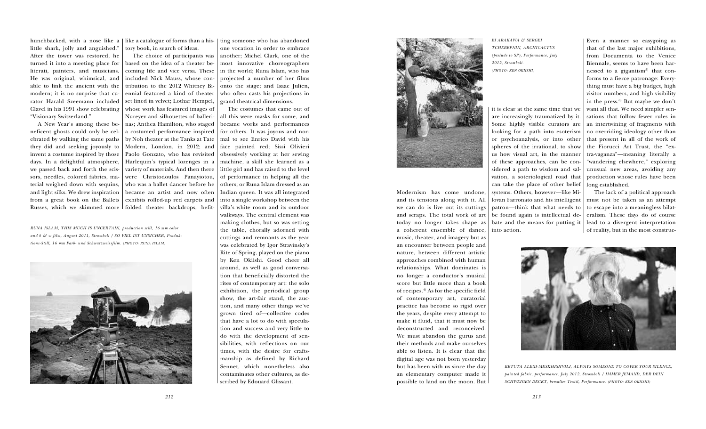Modernism has come undone, and its tensions along with it. All we can do is live out its cuttings and scraps. The total work of art today no longer takes shape as a coherent ensemble of dance, music, theater, and imagery but as an encounter between people and nature, between different artistic approaches combined with human relationships. What dominates is no longer a conductor's musical score but little more than a book of recipes.4) As for the specific field of contemporary art, curatorial practice has become so rigid over the years, despite every attempt to make it fluid, that it must now be deconstructed and reconceived. We must abandon the gurus and their methods and make ourselves able to listen. It is clear that the digital age was not born yesterday but has been with us since the day an elementary computer made it

possible to land on the moon. But

it is clear at the same time that we are increasingly traumatized by it. Some highly visible curators are looking for a path into esoterism or psychoanalysis, or into other spheres of the irrational, to show us how visual art, in the manner of these approaches, can be considered a path to wisdom and salvation, a soteriological road that can take the place of other belief systems. Others, however—like Milovan Farronato and his intelligent patron—think that what needs to be found again is intellectual debate and the means for putting it into action.



Even a manner so easygoing as that of the last major exhibitions, from Documenta to the Venice Biennale, seems to have been harnessed to a gigantism<sup>5)</sup> that conforms to a fierce patronage: Everything must have a big budget, high visitor numbers, and high visibility in the press. 6) But maybe we don't want all that. We need simpler sensations that follow fewer rules in an intertwining of fragments with no overriding ideology other than that present in all of the work of the Fiorucci Art Trust, the "extra-vaganza"—meaning literally a "wandering elsewhere," exploring unusual new areas, avoiding any production whose rules have been long established.

hunchbacked, with a nose like a  $\mid$  like a catalogue of forms than a his-  $\mid$  ting someone who has abandoned little shark, jolly and anguished." After the tower was restored, he turned it into a meeting place for literati, painters, and musicians. modern; it is no surprise that curator Harald Szeemann included Clavel in his 1991 show celebrating "Visionary Switzerland."

> The lack of a political approach must not be taken as an attempt to escape into a meaningless bilateralism. These days do of course lead to a divergent interpretation of reality, but in the most construc-

one vocation in order to embrace another; Michel Clark, one of the most innovative choreographers in the world; Runa Islam, who has projected a number of her films onto the stage; and Isaac Julien, who often casts his projections in grand theatrical dimensions.

The costumes that came out of all this were masks for some, and became works and performances for others. It was joyous and normal to see Enrico David with his



face painted red; Sissi Olivieri obsessively working at her sewing machine, a skill she learned as a little girl and has raised to the level of performance in helping all the others; or Runa Islam dressed as an Indian queen. It was all integrated into a single workshop between the villa's white room and its outdoor walkways. The central element was making clothes, but so was setting the table, chorally adorned with cuttings and remnants as the year was celebrated by Igor Stravinsky's Rite of Spring, played on the piano by Ken Okiishi. Good cheer all around, as well as good conversation that beneficially distorted the rites of contemporary art: the solo exhibition, the periodical group show, the art-fair stand, the auction, and many other things we've grown tired of—collective codes that have a lot to do with speculation and success and very little to do with the development of sensibilities, with reflections on our times, with the desire for craftsmanship as defined by Richard Sennet, which nonetheless also contaminates other cultures, as described by Edouard Glissant.

neficent ghosts could only be celinvent a costume inspired by those days. In a delightful atmosphere, we passed back and forth the scissors, needles, colored fabrics, material weighed down with sequins,

He was original, whimsical, and included Nick Mauss, whose conable to link the ancient with the  $\mid$  tribution to the 2012 Whitney Bi-A New Year's among these be-nas; Anthea Hamilton, who staged ebrated by walking the same paths by Noh theater at the Tanks at Tate they did and seeking joyously to Modern, London, in 2012; and and light silks. We drew inspiration | became an artist and now often from a great book on the Ballets | exhibits rolled-up red carpets and Russes, which we skimmed more | folded theater backdrops, befit-The choice of participants was based on the idea of a theater becoming life and vice versa. These ennial featured a kind of theater set lined in velvet; Lothar Hempel, whose work has featured images of Nureyev and silhouettes of balleria costumed performance inspired Paolo Gonzato, who has revisited Harlequin's typical lozenges in a variety of materials. And then there were Christodoulos Panayiotou, who was a ballet dancer before he

tory book, in search of ideas.

*RUNA ISLAM, THIS MUCH IS UNCERTAIN, production still, 16 mm color and b & w film, August 2011, Stromboli / SO VIEL IST UNSICHER, Produktions-Still, 16 mm Farb- und Schwarzweissfilm. (PHOTO: RUNA ISLAM)*



*EI ARAKAWA & SERGEI TCHEREPNIN, ARCHICACTUS (prelude to SP), Performance, July 2012, Stromboli. (PHOTO: KEN OKIISHI)*



*KETUTA ALEXI-MESKHISHVILI, ALWAYS SOMEONE TO COVER YOUR SILENCE, painted fabric, performance, July 2012, Stromboli / IMMER JEMAND, DER DEIN SCHWEIGEN DECKT, bemaltes Textil, Performance. (PHOTO: KEN OKIISHI)*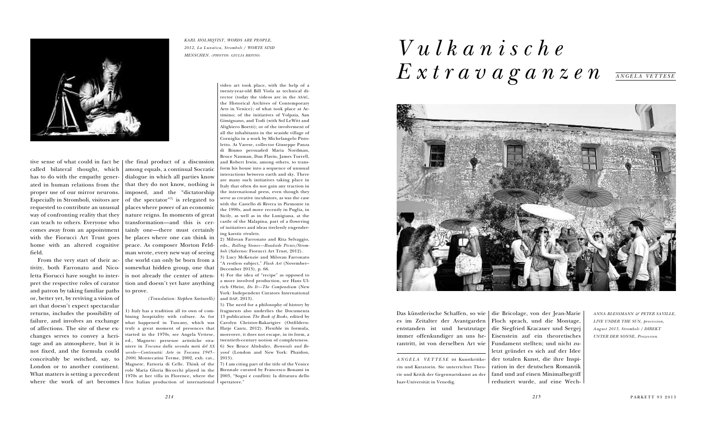

called bilateral thought, which has to do with the empathy generwith the Fiorucci Art Trust goes field.

From the very start of their activity, both Farronato and Nicopret the respective roles of curator and patron by taking familiar paths  $\mid$  to prove. or, better yet, by reviving a vision of art that doesn't expect spectacular returns, includes the possibility of failure, and involves an exchange of affections. The site of these exchanges serves to convey a heritage and an atmosphere, but it is not fixed, and the formula could conceivably be switched, say, to London or to another continent. What matters is setting a precedent

tive sense of what could in fact be  $\vert$  the final product of a discussion ated in human relations from the  $\mid$  that they do not know, nothing is proper use of our mirror neurons. imposed, and the "dictatorship Especially in Stromboli, visitors are  $\mid$  of the spectator" $^{\eta}$  is relegated to requested to contribute an unusual places where power of an economic way of confronting reality that they nature reigns. In moments of great can teach to others. Everyone who | transformation—and this is cercomes away from an appointment tainly one—there must certainly home with an altered cognitive | peace. As composer Morton Feldletta Fiorucci have sought to inter-is not already the center of attenamong equals, a continual Socratic dialogue in which all parties know be places where one can think in man wrote, every new way of seeing the world can only be born from a somewhat hidden group, one that tion and doesn't yet have anything

where the work of art becomes first Italian production of international 1) Italy has a tradition all its own of combining hospitality with culture. As for what happened in Tuscany, which was truly a great moment of presences that started in the 1970s, see Angela Vettese, ed., Magnete: presenze artistiche straniere in *Toscana dalla seconda metà del XX secolo—Continuità: Arte in Toscana 1945– 2000*, Montecatini Terme, 2002, exh. cat., Magnete, Fattoria di Celle. Think of the role Maria Gloria Bicocchi played in the 1970s at her villa in Florence, where the

*(Translation: Stephen Sartarelli)*

## *Vulkanische*  $E$  *x t r a v a g a n z e n ANGELA VETTESE*



Das künstlerische Schaffen, so wie | die Bricolage, von der Jean-Marie Floch sprach, und die Montage, die Siegfried Kracauer und Sergej Eisenstein auf ein theoretisches Fundament stellten; und nicht zuletzt gründet es sich auf der Idee der totalen Kunst, die ihre Inspiration in der deutschen Romantik fand und auf einen Minimalbegriff reduziert wurde, auf eine Wech-

video art took place, with the help of a twenty-year-old Bill Viola as technical director (today the videos are in the ASAC, the Historical Archives of Contemporary Arts in Venice); of what took place at Artimino; of the initiatives of Volpaia, San Gimignano, and Todi (with Sol LeWitt and Alighiero Boetti); or of the involvement of all the inhabitants in the seaside village of Corniglia in a work by Michelangelo Pistoletto. At Varese, collector Giuseppe Panza di Biumo persuaded Maria Nordman, Bruce Nauman, Dan Flavin, James Turrell, and Robert Irwin, among others, to transform his house into a sequence of unusual interactions between earth and sky. There are many such initiatives taking place in Italy that often do not gain any traction in the international press, even though they serve as creative incubators, as was the case with the Castello di Rivera in Piemonte in the 1990s, and more recently in Puglia, in Sicily, as well as in the Lunigiana, at the castle of the Malapina, part of a flowering of initiatives and ideas tirelessly engendering karstic rivulets.

2) Milovan Farronato and Rita Selvaggio, eds., *Rolling Stones—Roadside Picnic/Stromboli* (Salerno: Fiorucci Art Trust, 2012).

3) Lucy McKenzie and Milovan Farronato "A restless subject," *Flash Art* (November– December 2013), p. 66.

4) For the idea of "recipe" as opposed to a more involved production, see Hans Ulrich Obrist, *Do It—The Compendium* (New York: Independent Curators International and DAP, 2013).

5) The need for a philosophy of history by fragments also underlies the Documenta 13 publication *The Book of Books*, edited by Carolyn Christov-Bakarigiev (Ostfildern: Hatje Cantz, 2012). Flexible in formula, moreover, it does not escape, in its form, a twentieth-century notion of completeness. 6) See Bruce Altshuler, *Biennials and Beyond* (London and New York: Phaidon, 2013).

7) I am citing part of the title of the Venice Biennale curated by Francesco Bonami in 2003, "Sogni e conflitti: la dittatura dello spettatore."

es im Zeitalter der Avantgarden entstanden ist und heutzutage immer offenkundiger an uns herantritt, ist von derselben Art wie

*ANGELA VETTESE* ist Kunstkritikerin und Kuratorin. Sie unterrichtet Theorie und Kritik der Gegenwartskunst an der Iuav-Universität in Venedig.

*KARL HOLMQVIST, WORDS ARE PEOPLE, 2012, La Lunatica, Stromboli / WORTE SIND MENSCHEN. (PHOTOS: GIULIA BRIVIO)*

> *ANNA BLESSMANN & PETER SAVILLE, LIVE UNDER THE SUN, procession, August 2013, Stromboli / DIREKT UNTER DER SONNE, Prozession.*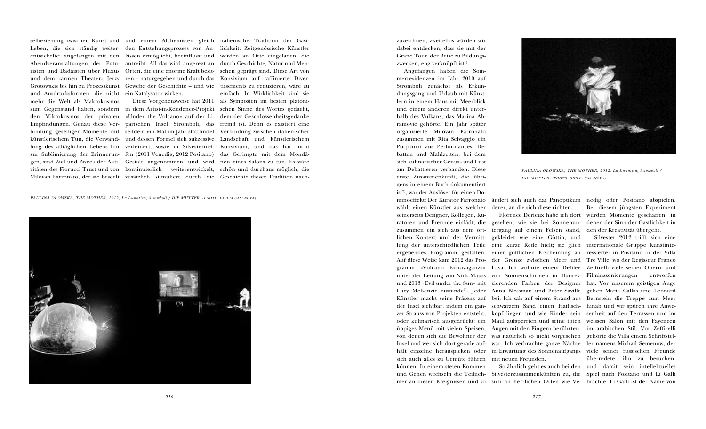selbeziehung zwischen Kunst und | und einem Alchemisten gleich | italienische Tradition der Gast-Leben, die sich ständig weiterentwickelte: angefangen mit den Abendveranstaltungen der Futuristen und Dadaisten über Fluxus und dem «armen Theater» Jerzy Grotowskis bis hin zu Prozesskunst und Ausdrucksformen, die nicht mehr die Welt als Makrokosmos den Mikrokosmos der privaten Empfindungen. Genau diese Verbindung geselliger Momente mit künstlerischem Tun, die Verwandlung des alltäglichen Lebens hin zur Sublimierung der Erinnerungen, sind Ziel und Zweck der Aktivitäten des Fiorucci Trust und von

zum Gegenstand haben, sondern | in dem Artist-in-Residence-Projekt Diese Vorgehensweise hat 2011 «Under the Volcano» auf der Liparischen Insel Stromboli, das seitdem ein Mal im Jahr stattfindet und dessen Formel sich sukzessive verfeinert, sowie in Silvestertreffen (2011 Venedig, 2012 Positano) Gestalt angenommen und wird kontinuierlich weiterentwickelt,

den Entstehungsprozess von Anlässen ermöglicht, beeinflusst und antreibt. All das wird angeregt an Orten, die eine enorme Kraft besitzen – naturgegeben und durch das Gewebe der Geschichte – und wie ein Katalysator wirken.

Milovan Farronato, der sie beseelt | zusätzlich | stimuliert | durch | die | Geschichte dieser Tradition nachlichkeit: Zeitgenössische Künstler werden an Orte eingeladen, die durch Geschichte, Natur und Menschen geprägt sind. Diese Art von Konvivium auf raffinierte Divertissements zu reduzieren, wäre zu einfach. In Wirklichkeit sind sie als Symposien im besten platonischen Sinne des Wortes gedacht, dem der Geschlossenheitsgedanke fremd ist. Denn es existiert eine Verbindung zwischen italienischer Landschaft und künstlerischem Konvivium, und das hat nicht das Geringste mit dem Mondänen eines Salons zu tun. Es wäre schön und durchaus möglich, die zuzeichnen; zweifellos würden wir dabei entdecken, dass sie mit der Grand Tour, der Reise zu Bildungszwecken, eng verknüpft ist $^{\text{\tiny{1)}}}.$ 

Angefangen haben die Sommerresidenzen im Jahr 2010 auf Stromboli zunächst als Erkundungsgang und Urlaub mit Künstlern in einem Haus mit Meerblick und einem anderen direkt unterhalb des Vulkans, das Marina Abramovic gehörte. Ein Jahr später organisierte Milovan Farronato zusammen mit Rita Selvaggio ein Potpourri aus Performances, Debatten und Mahlzeiten, bei dem sich kulinarischer Genuss und Lust am Debattieren verbanden. Diese erste Zusammenkunft, die übrigens in einem Buch dokumentiert ist<sup>2)</sup>, war der Auslöser für einen Dominoeffekt: Der Kurator Farronato wählt einen Künstler aus, welcher seinerseits Designer, Kollegen, Kuratoren und Freunde einlädt, die zusammen ein sich aus dem örtlichen Kontext und der Vermittlung der unterschiedlichen Teile ergebendes Programm gestalten. Auf diese Weise kam 2012 das Programm «Volcano Extravaganza» unter der Leitung von Nick Mauss und 2013 «Evil under the Sun» mit Lucy McKenzie zustande<sup>3)</sup>. Jeder Künstler macht seine Präsenz auf der Insel sichtbar, indem ein ganzer Strauss von Projekten entsteht, oder kulinarisch ausgedrückt: ein üppiges Menü mit vielen Speisen, von denen sich die Bewohner der Insel und wer sich dort gerade aufhält einzelne herauspicken oder sich auch alles zu Gemüte führen können. In einem steten Kommen und Gehen wechseln die Teilnehmer an diesen Ereignissen und so∣sich an herrlichen Orten wie Ve-∣brachte. Li Galli ist der Name von

eine kurze Rede hielt; sie glich | internationale Gruppe Kunstinteder Grenze zwischen Meer und Tre Ville, wo der Regisseur Franco Lava. Ich wohnte einem Defilee Zeffirelli viele seiner Opern- und schwarzem Sand einen Haifisch-hinab und wir spüren ihre Anwekopf liegen und wie Kinder sein | senheit auf den Terrassen und im was natürlich so nicht vorgesehen gehörte die Villa einem Schriftstelwar. Ich verbrachte ganze Nächte | ler namens Michail Semenow, der So ähnlich geht es auch bei den | und damit sein intellektuelles Silvesterzusammenkünften zu, die | Spiel nach Positano und Li Galli Silvester 2012 trifft sich eine ressierter in Positano in der Villa Filminszenierungen entworfen hat. Vor unserem geistigen Auge gehen Maria Callas und Leonard Bernstein die Treppe zum Meer weissen Salon mit den Fayencen im arabischen Stil. Vor Zeffirelli viele seiner russischen Freunde überredete, ihn zu besuchen,

derer, an die sich diese richten.

Florence Derieux habe ich dort tergang auf einem Felsen stand, gekleidet wie eine Göttin, und einer göttlichen Erscheinung an von Sonnenschirmen in fluoreszierenden Farben der Designer Anna Blessman und Peter Saville bei. Ich sah auf einem Strand aus Maul aufsperrten und seine toten Augen mit den Fingern berührten, in Erwartung des Sonnenaufgangs mit neuen Freunden.

ändert sich auch das Panoptikum nedig oder Positano abspielen. gesehen, wie sie bei Sonnenun-denen der Sinn der Gastlichkeit in Bei diesem jüngsten Experiment wurden Momente geschaffen, in den der Kreativität übergeht.

*PAULINA OLOWSKA, THE MOTHER, 2012, La Lunatica, Stromboli / DIE MUTTER. (PHOTO: GIULIA CASANOVA)*

![](_page_4_Picture_5.jpeg)

![](_page_4_Picture_14.jpeg)

*PAULINA OLOWSKA, THE MOTHER, 2012, La Lunatica, Stromboli / DIE MUTTER. (PHOTO: GIULIA CASANOVA)*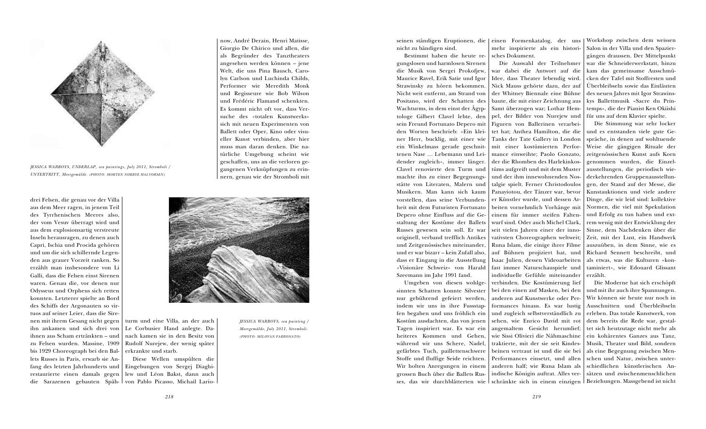drei Felsen, die genau vor der Villa aus dem Meer ragen, in jenem Teil des Tyrrhenischen Meeres also, der vom Vesuv überragt wird und aus dem explosionsartig verstreute Inseln herausragen, zu denen auch Capri, Ischia und Procida gehören und um die sich schillernde Legenden aus grauer Vorzeit ranken. So erzählt man insbesondere von Li Galli, dass die Felsen einst Sirenen waren. Genau die, vor denen nur Odysseus und Orpheus sich retten konnten. Letzterer spielte an Bord des Schiffs der Argonauten so virtuos auf seiner Leier, dass die Sirenen mit ihrem Gesang nicht gegen ihn ankamen und sich drei von ihnen aus Scham ertränkten – und zu Felsen wurden. Massine, 1909 bis 1929 Choreograph bei den Ballets Russes in Paris, erwarb sie Anfang des letzten Jahrhunderts und restaurierte einen damals gegen

seinen ständigen Eruptionen, die einen Formenkatalog, der uns |Workshop zwischen dem weissen nicht zu bändigen sind.

turm und eine Villa, an der auch Le Corbusier Hand anlegte. Danach kamen sie in den Besitz von Rudolf Nurejew, der wenig später erkrankte und starb.

die Sarazenen gebauten Späh-von Pablo Picasso, Michail Lario-Diese Wellen umspülten die Eingebungen von Sergej Diaghilew und Léon Bakst, dann auch

now, André Derain, Henri Matisse, Giorgio De Chirico und allen, die als Begründer des Tanztheaters angesehen werden können – jene Welt, die uns Pina Bausch, Carolyn Carlson und Luchinda Childs, Performer wie Meredith Monk und Regisseure wie Bob Wilson und Frédéric Flamand schenkten. Es kommt nicht oft vor, dass Versuche des «totalen Kunstwerks» sich mit neuen Experimenten von Ballett oder Oper, Kino oder visueller Kunst verbinden, aber hier muss man daran denken. Die natürliche Umgebung scheint wie geschaffen, uns an die verloren gegangenen Verknüpfungen zu erinnern, genau wie der Stromboli mit

![](_page_5_Picture_4.jpeg)

Bestimmt haben die heute regungslosen und harmlosen Sirenen die Musik von Sergei Prokofjew, Maurice Ravel, Erik Satie und Igor Strawinsky zu hören bekommen. Nicht weit entfernt, am Strand von Positano, wird der Schatten des Wachturms, in dem einst der Ägyptologe Gilbert Clavel lebte, den sein Freund Fortunato Depero mit den Worten beschrieb: «Ein kleiner Herr, bucklig, mit einer wie ein Winkelmass gerade geschnittenen Nase … Lebemann und Leidender zugleich», immer länger. Clavel renovierte den Turm und | tüms aufgreift und mit dem Muster machte ihn zu einer Begegnungsstätte von Literaten, Malern und Musikern. Man kann sich kaum vorstellen, dass seine Verbundenheit mit dem Futuristen Fortunato Depero ohne Einfluss auf die Gestaltung der Kostüme der Ballets Russes gewesen sein soll. Er war originell, verband trefflich Antikes und Zeitgenössisches miteinander, und er war bizarr – kein Zufall also, dass er Eingang in die Ausstellung «Visionäre Schweiz» von Harald Szeemann im Jahr 1991 fand.

Umgeben von diesen wohlgesinnten Schatten konnte Silvester nur gebührend gefeiert werden, indem wir uns in ihre Fussstapfen begaben und uns fröhlich ein Kostüm ausdachten, das von jenen Tagen inspiriert war. Es war ein heiteres Kommen und Gehen, während wir uns Schere, Nadel, gefärbtes Tuch, paillettenschwere Stoffe und fluffige Seide reichten. Wir holten Anregungen in einem grossen Buch über die Ballets Rusmehr inspirierte als ein historisches Dokument.

ses, das wir durchblätterten wie schränkte sich in einem einzigen Beziehungen. Massgebend ist nicht Die Auswahl der Teilnehmer war dabei die Antwort auf die Idee, dass Theater lebendig wird. Nick Mauss gehörte dazu, der auf der Whitney Biennale eine Bühne baute, die mit einer Zeichnung aus Samt überzogen war; Lothar Hempel, der Bilder von Nurejew und Figuren von Ballerinen verarbeitet hat; Anthea Hamilton, die die Tanks der Tate Gallery in London mit einer kostümierten Performance einweihte; Paolo Gonzato, der die Rhomben des Harlekinkosund der ihm innewohnenden Nostalgie spielt. Ferner Christodoulos Panayiotou, der Tänzer war, bevor er Künstler wurde, und dessen Arbeiten vornehmlich Vorhänge mit einem für immer steifen Faltenwurf sind. Oder auch Michel Clark, seit vielen Jahren einer der innovativsten Choreographen weltweit; Runa Islam, die einige ihrer Filme auf Bühnen projiziert hat, und Isaac Julien, dessen Videoarbeiten fast immer Naturschauspiele und individuelle Gefühle miteinander verbinden. Die Kostümierung lief bei den einen auf Masken, bei den anderen auf Kunstwerke oder Performances hinaus. Es war lustig und zugleich selbstverständlich zu sehen, wie Enrico David mit rot angemaltem Gesicht herumlief; wie Sissi Olivieri die Nähmaschine traktierte, mit der sie seit Kindesbeinen vertraut ist und die sie bei Performances einsetzt, und allen anderen half; wie Runa Islam als indische Königin auftrat. Alles verwar die Schneiderwerkstatt, hinzu kam das gemeinsame Ausschmücken der Tafel mit Stoffresten und Überbleibseln sowie das Einläuten des neuen Jahres mit Igor Strawinskys Ballettmusik «Sacre du Printemps», die der Pianist Ken Okiishi für uns auf dem Klavier spielte. Die Stimmung war sehr locker und es entstanden viele gute Gespräche, in denen auf wohltuende Weise die gängigen Rituale der zeitgenössischen Kunst aufs Korn genommen wurden, die Einzelausstellungen, die periodisch wiederkehrenden Gruppenausstellungen, der Stand auf der Messe, die Kunstauktionen und viele andere Dinge, die wir leid sind: kollektive Normen, die viel mit Spekulation und Erfolg zu tun haben und extrem wenig mit der Entwicklung der Sinne, dem Nachdenken über die Zeit, mit der Lust, ein Handwerk auszuüben, in dem Sinne, wie es Richard Sennett beschreibt, und als etwas, was die Kulturen «kontaminiert», wie Edouard Glissant erzählt. Die Moderne hat sich erschöpft und mit ihr auch ihre Spannungen. Wir können sie heute nur noch in Ausschnitten und Überbleibseln erleben. Das totale Kunstwerk, von dem bereits die Rede war, gestaltet sich heutzutage nicht mehr als ein kohärentes Ganzes aus Tanz, Musik, Theater und Bild, sondern als eine Begegnung zwischen Menschen und Natur, zwischen unterschiedlichen künstlerischen Ansätzen und zwischenmenschlichen

Salon in der Villa und den Spaziergängen draussen. Der Mittelpunkt

![](_page_5_Picture_0.jpeg)

*JESSICA WARBOYS, UNDERLAP, sea paintings, July 2011, Stromboli / UNTERTRITT, Meergemälde. (PHOTO: MORTEN NORBYE HALVORSEN)*

*JESSICA WARBOYS, sea painting / Meergemälde, July 2011, Stromboli. (PHOTO: MILOVAN FARRONATO)*